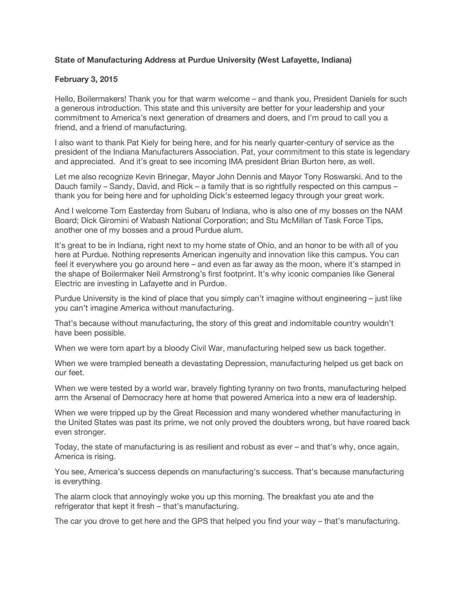## **State of Manufacturing Address at Purdue University (West Lafayette, Indiana)**

## **February 3, 2015**

Hello, Boilermakers! Thank you for that warm welcome – and thank you, President Daniels for such a generous introduction. This state and this university are better for your leadership and your commitment to America's next generation of dreamers and doers, and I'm proud to call you a friend, and a friend of manufacturing.

I also want to thank Pat Kiely for being here, and for his nearly quarter-century of service as the president of the Indiana Manufacturers Association. Pat, your commitment to this state is legendary and appreciated. And it's great to see incoming IMA president Brian Burton here, as well.

Let me also recognize Kevin Brinegar, Mayor John Dennis and Mayor Tony Roswarski. And to the Dauch family – Sandy, David, and Rick – a family that is so rightfully respected on this campus – thank you for being here and for upholding Dick's esteemed legacy through your great work.

And I welcome Tom Easterday from Subaru of Indiana, who is also one of my bosses on the NAM Board; Dick Giromini of Wabash National Corporation; and Stu McMillan of Task Force Tips, another one of my bosses and a proud Purdue alum.

It's great to be in Indiana, right next to my home state of Ohio, and an honor to be with all of you here at Purdue. Nothing represents American ingenuity and innovation like this campus. You can feel it everywhere you go around here – and even as far away as the moon, where it's stamped in the shape of Boilermaker Neil Armstrong's first footprint. It's why iconic companies like General Electric are investing in Lafayette and in Purdue.

Purdue University is the kind of place that you simply can't imagine without engineering – just like you can't imagine America without manufacturing.

That's because without manufacturing, the story of this great and indomitable country wouldn't have been possible.

When we were torn apart by a bloody Civil War, manufacturing helped sew us back together.

When we were trampled beneath a devastating Depression, manufacturing helped us get back on our feet.

When we were tested by a world war, bravely fighting tyranny on two fronts, manufacturing helped arm the Arsenal of Democracy here at home that powered America into a new era of leadership.

When we were tripped up by the Great Recession and many wondered whether manufacturing in the United States was past its prime, we not only proved the doubters wrong, but have roared back even stronger.

Today, the state of manufacturing is as resilient and robust as ever – and that's why, once again, America is rising.

You see, America's success depends on manufacturing's success. That's because manufacturing is everything.

The alarm clock that annoyingly woke you up this morning. The breakfast you ate and the refrigerator that kept it fresh – that's manufacturing.

The car you drove to get here and the GPS that helped you find your way – that's manufacturing.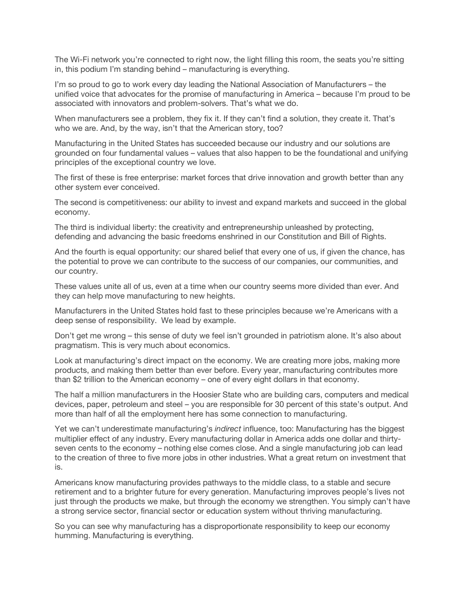The Wi-Fi network you're connected to right now, the light filling this room, the seats you're sitting in, this podium I'm standing behind – manufacturing is everything.

I'm so proud to go to work every day leading the National Association of Manufacturers – the unified voice that advocates for the promise of manufacturing in America – because I'm proud to be associated with innovators and problem-solvers. That's what we do.

When manufacturers see a problem, they fix it. If they can't find a solution, they create it. That's who we are. And, by the way, isn't that the American story, too?

Manufacturing in the United States has succeeded because our industry and our solutions are grounded on four fundamental values – values that also happen to be the foundational and unifying principles of the exceptional country we love.

The first of these is free enterprise: market forces that drive innovation and growth better than any other system ever conceived.

The second is competitiveness: our ability to invest and expand markets and succeed in the global economy.

The third is individual liberty: the creativity and entrepreneurship unleashed by protecting, defending and advancing the basic freedoms enshrined in our Constitution and Bill of Rights.

And the fourth is equal opportunity: our shared belief that every one of us, if given the chance, has the potential to prove we can contribute to the success of our companies, our communities, and our country.

These values unite all of us, even at a time when our country seems more divided than ever. And they can help move manufacturing to new heights.

Manufacturers in the United States hold fast to these principles because we're Americans with a deep sense of responsibility. We lead by example.

Don't get me wrong – this sense of duty we feel isn't grounded in patriotism alone. It's also about pragmatism. This is very much about economics.

Look at manufacturing's direct impact on the economy. We are creating more jobs, making more products, and making them better than ever before. Every year, manufacturing contributes more than \$2 trillion to the American economy – one of every eight dollars in that economy.

The half a million manufacturers in the Hoosier State who are building cars, computers and medical devices, paper, petroleum and steel – you are responsible for 30 percent of this state's output. And more than half of all the employment here has some connection to manufacturing.

Yet we can't underestimate manufacturing's *indirect* influence, too: Manufacturing has the biggest multiplier effect of any industry. Every manufacturing dollar in America adds one dollar and thirtyseven cents to the economy – nothing else comes close. And a single manufacturing job can lead to the creation of three to five more jobs in other industries. What a great return on investment that is.

Americans know manufacturing provides pathways to the middle class, to a stable and secure retirement and to a brighter future for every generation. Manufacturing improves people's lives not just through the products we make, but through the economy we strengthen. You simply can't have a strong service sector, financial sector or education system without thriving manufacturing.

So you can see why manufacturing has a disproportionate responsibility to keep our economy humming. Manufacturing is everything.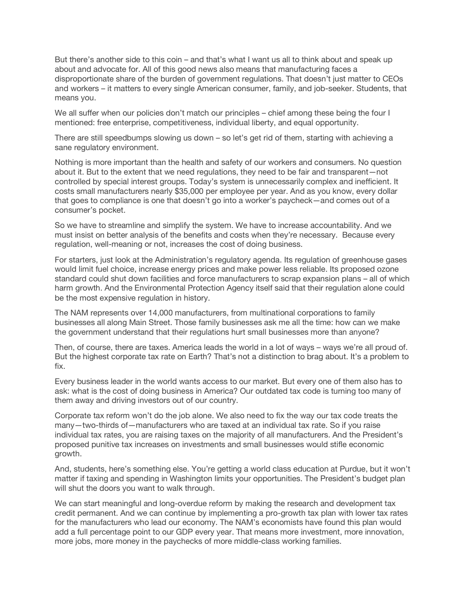But there's another side to this coin – and that's what I want us all to think about and speak up about and advocate for. All of this good news also means that manufacturing faces a disproportionate share of the burden of government regulations. That doesn't just matter to CEOs and workers – it matters to every single American consumer, family, and job-seeker. Students, that means you.

We all suffer when our policies don't match our principles – chief among these being the four I mentioned: free enterprise, competitiveness, individual liberty, and equal opportunity.

There are still speedbumps slowing us down – so let's get rid of them, starting with achieving a sane regulatory environment.

Nothing is more important than the health and safety of our workers and consumers. No question about it. But to the extent that we need regulations, they need to be fair and transparent—not controlled by special interest groups. Today's system is unnecessarily complex and inefficient. It costs small manufacturers nearly \$35,000 per employee per year. And as you know, every dollar that goes to compliance is one that doesn't go into a worker's paycheck—and comes out of a consumer's pocket.

So we have to streamline and simplify the system. We have to increase accountability. And we must insist on better analysis of the benefits and costs when they're necessary. Because every regulation, well-meaning or not, increases the cost of doing business.

For starters, just look at the Administration's regulatory agenda. Its regulation of greenhouse gases would limit fuel choice, increase energy prices and make power less reliable. Its proposed ozone standard could shut down facilities and force manufacturers to scrap expansion plans – all of which harm growth. And the Environmental Protection Agency itself said that their regulation alone could be the most expensive regulation in history.

The NAM represents over 14,000 manufacturers, from multinational corporations to family businesses all along Main Street. Those family businesses ask me all the time: how can we make the government understand that their regulations hurt small businesses more than anyone?

Then, of course, there are taxes. America leads the world in a lot of ways – ways we're all proud of. But the highest corporate tax rate on Earth? That's not a distinction to brag about. It's a problem to fix.

Every business leader in the world wants access to our market. But every one of them also has to ask: what is the cost of doing business in America? Our outdated tax code is turning too many of them away and driving investors out of our country.

Corporate tax reform won't do the job alone. We also need to fix the way our tax code treats the many—two-thirds of—manufacturers who are taxed at an individual tax rate. So if you raise individual tax rates, you are raising taxes on the majority of all manufacturers. And the President's proposed punitive tax increases on investments and small businesses would stifle economic growth.

And, students, here's something else. You're getting a world class education at Purdue, but it won't matter if taxing and spending in Washington limits your opportunities. The President's budget plan will shut the doors you want to walk through.

We can start meaningful and long-overdue reform by making the research and development tax credit permanent. And we can continue by implementing a pro-growth tax plan with lower tax rates for the manufacturers who lead our economy. The NAM's economists have found this plan would add a full percentage point to our GDP every year. That means more investment, more innovation, more jobs, more money in the paychecks of more middle-class working families.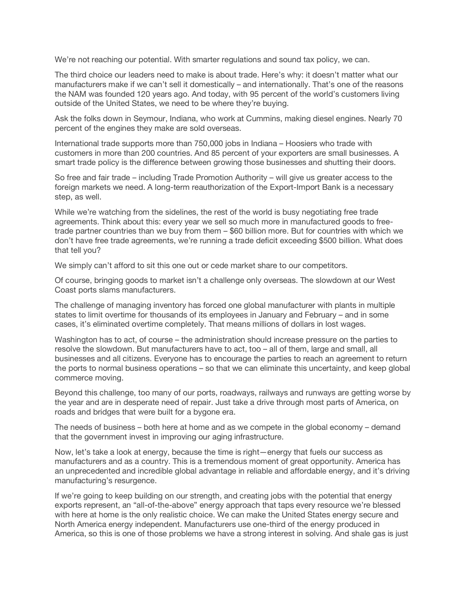We're not reaching our potential. With smarter regulations and sound tax policy, we can.

The third choice our leaders need to make is about trade. Here's why: it doesn't matter what our manufacturers make if we can't sell it domestically – and internationally. That's one of the reasons the NAM was founded 120 years ago. And today, with 95 percent of the world's customers living outside of the United States, we need to be where they're buying.

Ask the folks down in Seymour, Indiana, who work at Cummins, making diesel engines. Nearly 70 percent of the engines they make are sold overseas.

International trade supports more than 750,000 jobs in Indiana – Hoosiers who trade with customers in more than 200 countries. And 85 percent of your exporters are small businesses. A smart trade policy is the difference between growing those businesses and shutting their doors.

So free and fair trade – including Trade Promotion Authority – will give us greater access to the foreign markets we need. A long-term reauthorization of the Export-Import Bank is a necessary step, as well.

While we're watching from the sidelines, the rest of the world is busy negotiating free trade agreements. Think about this: every year we sell so much more in manufactured goods to freetrade partner countries than we buy from them – \$60 billion more. But for countries with which we don't have free trade agreements, we're running a trade deficit exceeding \$500 billion. What does that tell you?

We simply can't afford to sit this one out or cede market share to our competitors.

Of course, bringing goods to market isn't a challenge only overseas. The slowdown at our West Coast ports slams manufacturers.

The challenge of managing inventory has forced one global manufacturer with plants in multiple states to limit overtime for thousands of its employees in January and February – and in some cases, it's eliminated overtime completely. That means millions of dollars in lost wages.

Washington has to act, of course – the administration should increase pressure on the parties to resolve the slowdown. But manufacturers have to act, too – all of them, large and small, all businesses and all citizens. Everyone has to encourage the parties to reach an agreement to return the ports to normal business operations – so that we can eliminate this uncertainty, and keep global commerce moving.

Beyond this challenge, too many of our ports, roadways, railways and runways are getting worse by the year and are in desperate need of repair. Just take a drive through most parts of America, on roads and bridges that were built for a bygone era.

The needs of business – both here at home and as we compete in the global economy – demand that the government invest in improving our aging infrastructure.

Now, let's take a look at energy, because the time is right—energy that fuels our success as manufacturers and as a country. This is a tremendous moment of great opportunity. America has an unprecedented and incredible global advantage in reliable and affordable energy, and it's driving manufacturing's resurgence.

If we're going to keep building on our strength, and creating jobs with the potential that energy exports represent, an "all-of-the-above" energy approach that taps every resource we're blessed with here at home is the only realistic choice. We can make the United States energy secure and North America energy independent. Manufacturers use one-third of the energy produced in America, so this is one of those problems we have a strong interest in solving. And shale gas is just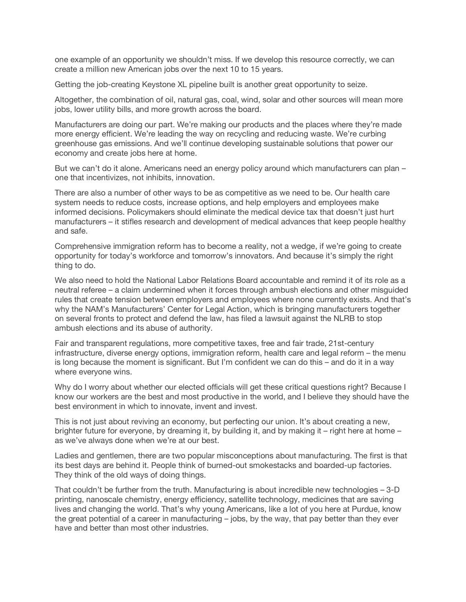one example of an opportunity we shouldn't miss. If we develop this resource correctly, we can create a million new American jobs over the next 10 to 15 years.

Getting the job-creating Keystone XL pipeline built is another great opportunity to seize.

Altogether, the combination of oil, natural gas, coal, wind, solar and other sources will mean more jobs, lower utility bills, and more growth across the board.

Manufacturers are doing our part. We're making our products and the places where they're made more energy efficient. We're leading the way on recycling and reducing waste. We're curbing greenhouse gas emissions. And we'll continue developing sustainable solutions that power our economy and create jobs here at home.

But we can't do it alone. Americans need an energy policy around which manufacturers can plan – one that incentivizes, not inhibits, innovation.

There are also a number of other ways to be as competitive as we need to be. Our health care system needs to reduce costs, increase options, and help employers and employees make informed decisions. Policymakers should eliminate the medical device tax that doesn't just hurt manufacturers – it stifles research and development of medical advances that keep people healthy and safe.

Comprehensive immigration reform has to become a reality, not a wedge, if we're going to create opportunity for today's workforce and tomorrow's innovators. And because it's simply the right thing to do.

We also need to hold the National Labor Relations Board accountable and remind it of its role as a neutral referee – a claim undermined when it forces through ambush elections and other misguided rules that create tension between employers and employees where none currently exists. And that's why the NAM's Manufacturers' Center for Legal Action, which is bringing manufacturers together on several fronts to protect and defend the law, has filed a lawsuit against the NLRB to stop ambush elections and its abuse of authority.

Fair and transparent regulations, more competitive taxes, free and fair trade, 21st-century infrastructure, diverse energy options, immigration reform, health care and legal reform – the menu is long because the moment is significant. But I'm confident we can do this – and do it in a way where everyone wins.

Why do I worry about whether our elected officials will get these critical questions right? Because I know our workers are the best and most productive in the world, and I believe they should have the best environment in which to innovate, invent and invest.

This is not just about reviving an economy, but perfecting our union. It's about creating a new, brighter future for everyone, by dreaming it, by building it, and by making it – right here at home – as we've always done when we're at our best.

Ladies and gentlemen, there are two popular misconceptions about manufacturing. The first is that its best days are behind it. People think of burned-out smokestacks and boarded-up factories. They think of the old ways of doing things.

That couldn't be further from the truth. Manufacturing is about incredible new technologies – 3-D printing, nanoscale chemistry, energy efficiency, satellite technology, medicines that are saving lives and changing the world. That's why young Americans, like a lot of you here at Purdue, know the great potential of a career in manufacturing – jobs, by the way, that pay better than they ever have and better than most other industries.